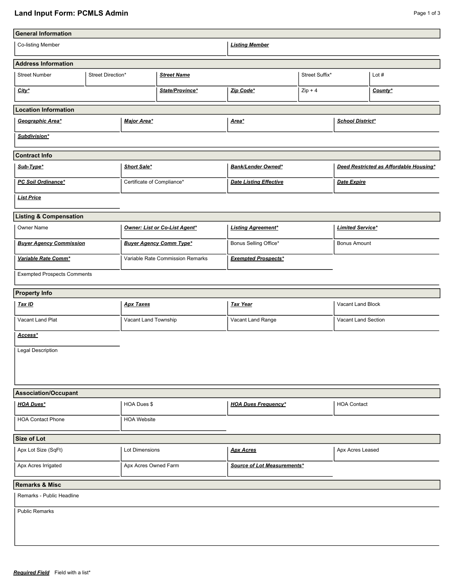## **Land Input Form: PCMLS Admin** Page 1 of 3

| <b>General Information</b>                  |                |                                  |                             |                               |           |                                        |         |  |  |
|---------------------------------------------|----------------|----------------------------------|-----------------------------|-------------------------------|-----------|----------------------------------------|---------|--|--|
| Co-listing Member                           |                |                                  |                             | <b>Listing Member</b>         |           |                                        |         |  |  |
| <b>Address Information</b>                  |                |                                  |                             |                               |           |                                        |         |  |  |
| <b>Street Number</b><br>Street Direction*   |                | <b>Street Name</b>               |                             | Street Suffix*                |           | Lot $#$                                |         |  |  |
| $City^*$                                    |                | State/Province*                  |                             | Zip Code*                     | $Zip + 4$ |                                        | County* |  |  |
| <b>Location Information</b>                 |                |                                  |                             |                               |           |                                        |         |  |  |
| Geographic Area*                            |                | Major Area*                      |                             | Area*                         |           | <b>School District*</b>                |         |  |  |
| Subdivision*                                |                |                                  |                             |                               |           |                                        |         |  |  |
| <b>Contract Info</b>                        |                |                                  |                             |                               |           |                                        |         |  |  |
| Sub-Type*                                   |                | Short Sale*                      |                             | <b>Bank/Lender Owned*</b>     |           | Deed Restricted as Affordable Housing* |         |  |  |
| PC Soil Ordinance*                          |                | Certificate of Compliance*       |                             | <b>Date Listing Effective</b> |           | <b>Date Expire</b>                     |         |  |  |
| <b>List Price</b>                           |                |                                  |                             |                               |           |                                        |         |  |  |
| <b>Listing &amp; Compensation</b>           |                |                                  |                             |                               |           |                                        |         |  |  |
| Owner Name                                  |                | Owner: List or Co-List Agent*    |                             | <b>Listing Agreement*</b>     |           | <b>Limited Service*</b>                |         |  |  |
| <b>Buyer Agency Commission</b>              |                | <b>Buyer Agency Comm Type*</b>   |                             | Bonus Selling Office*         |           | <b>Bonus Amount</b>                    |         |  |  |
| Variable Rate Comm*                         |                | Variable Rate Commission Remarks |                             | <b>Exempted Prospects*</b>    |           |                                        |         |  |  |
| <b>Exempted Prospects Comments</b>          |                |                                  |                             |                               |           |                                        |         |  |  |
| <b>Property Info</b>                        |                |                                  |                             |                               |           |                                        |         |  |  |
| Tax ID                                      |                | <b>Apx Taxes</b>                 |                             | <b>Tax Year</b>               |           | Vacant Land Block                      |         |  |  |
| Vacant Land Plat                            |                | Vacant Land Township             |                             | Vacant Land Range             |           | Vacant Land Section                    |         |  |  |
| Access*                                     |                |                                  |                             |                               |           |                                        |         |  |  |
| Legal Description                           |                |                                  |                             |                               |           |                                        |         |  |  |
|                                             |                |                                  |                             |                               |           |                                        |         |  |  |
|                                             |                |                                  |                             |                               |           |                                        |         |  |  |
| <b>Association/Occupant</b>                 |                |                                  |                             |                               |           |                                        |         |  |  |
| <b>HOA Dues*</b>                            | HOA Dues \$    |                                  |                             | <b>HOA Dues Frequency*</b>    |           | <b>HOA Contact</b>                     |         |  |  |
| <b>HOA Contact Phone</b>                    |                | <b>HOA Website</b>               |                             |                               |           |                                        |         |  |  |
| <b>Size of Lot</b>                          |                |                                  |                             |                               |           |                                        |         |  |  |
| Apx Lot Size (SqFt)                         | Lot Dimensions |                                  |                             | <b>Apx Acres</b>              |           | Apx Acres Leased                       |         |  |  |
| Apx Acres Irrigated<br>Apx Acres Owned Farm |                |                                  | Source of Lot Measurements* |                               |           |                                        |         |  |  |
| <b>Remarks &amp; Misc</b>                   |                |                                  |                             |                               |           |                                        |         |  |  |
| Remarks - Public Headline                   |                |                                  |                             |                               |           |                                        |         |  |  |
| <b>Public Remarks</b>                       |                |                                  |                             |                               |           |                                        |         |  |  |
|                                             |                |                                  |                             |                               |           |                                        |         |  |  |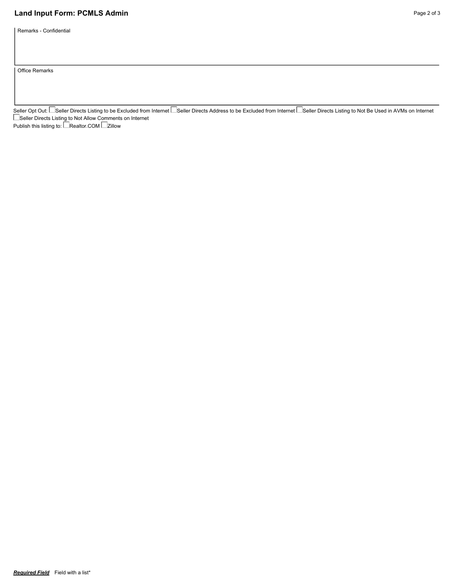## **Land Input Form: PCMLS Admin** Page 2 of 3

Remarks - Confidential

Office Remarks

Seller Opt Out: └─Seller Directs Listing to be Excluded from Internet └─Seller Directs Address to be Excluded from Internet └─Seller Directs Listing to Not Be Used in AVMs on Internet Seller Directs Listing to Not Allow Comments on Internet Publish this listing to: LeRealtor.COM Le